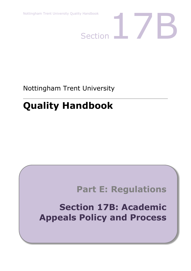

Nottingham Trent University

# **Quality Handbook**

# **Part E: Regulations**

**Section 17B: Academic Appeals Policy and Process**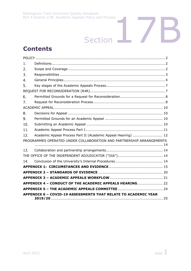# Section<sup>17</sup>B

# **Contents**

| 1.             |                                                                       |
|----------------|-----------------------------------------------------------------------|
| 2.             |                                                                       |
| 3.             |                                                                       |
| 4.             |                                                                       |
| 5.             |                                                                       |
|                |                                                                       |
| 6.             |                                                                       |
| 7 <sub>1</sub> |                                                                       |
|                |                                                                       |
| 8.             |                                                                       |
| 9.             |                                                                       |
| 10.            |                                                                       |
| 11.            |                                                                       |
| 12.            | Academic Appeal Process Part II (Academic Appeal Hearing)  12         |
|                | PROGRAMMES OPERATED UNDER COLLABORATION AND PARTNERSHIP ARRANGEMENTS  |
| 13.            |                                                                       |
|                |                                                                       |
| 14.            |                                                                       |
|                |                                                                       |
|                |                                                                       |
|                |                                                                       |
|                | APPENDIX 4 - CONDUCT OF THE ACADEMIC APPEALS HEARING 22               |
|                |                                                                       |
|                | <b>APPENDIX 6 - COVID-19 ASSESSMENTS THAT RELATE TO ACADEMIC YEAR</b> |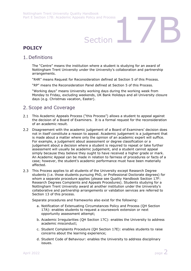# Section<br>Section

# <span id="page-2-0"></span>**POLICY**

## <span id="page-2-1"></span>1. Definitions

The "Centre" means the institution where a student is studying for an award of Nottingham Trent University under the University's collaboration and partnership arrangements.

"R4R" means Request for Reconsideration defined at Section 5 of this Process.

"RP" means the Reconsideration Panel defined at Section 5 of this Process.

"Working days" means University working days during the working week from Monday to Friday, excluding weekends, UK Bank Holidays and all University closure days (e.g. Christmas vacation, Easter).

## <span id="page-2-2"></span>2. Scope and Coverage

- $2.1$ This Academic Appeals Process ("this Process") allows a student to appeal against the decision of a Board of Examiners. It is a formal request for the reconsideration of an academic result.
- 2.2 Disagreement with the academic judgement of a Board of Examiners' decision does not in itself constitute a reason to appeal. Academic judgement is a judgement that is made about a matter where only the opinion of an academic expert will suffice. For example, a judgement about assessment or degree classification or a judgement about a decision where a student is required to repeat or take further assessment will usually be academic judgement, and a student cannot appeal simply because they believe they ought to have received a higher grade or mark. An Academic Appeal can be made in relation to fairness of procedures or facts of a case; however, the student's academic performance must have been materially affected.
- 2.3 This Process applies to all students of the University except Research Degree students (i.e. those students pursuing PhD, or Professional Doctorate degrees) for whom a separate procedure applies (please see Quality Handbook Section 17F: Research Degrees Complaints and Appeals Procedures). Students studying for a Nottingham Trent University award at another institution under the University's collaborative and partnership arrangements or validation services are referred to Section 13 of this process.

Separate procedures and frameworks also exist for the following:

- a. Notification of Extenuating Circumstances Policy and Process (QH Section 17A): enables students to request a coursework extension or next opportunity assessment attempt;
- b. Academic Irregularities (QH Section 17C): enables the University to address academic misconduct;
- c. Student Complaints Procedure (QH Section 17E): enables students to raise concerns about the learning experience;
- d. Student Code of Behaviour: enables the University to address disciplinary issues.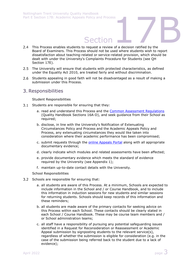- Section<br>
Section<br>
Section<br>
Section<br>
Section<br>
Section<br>
Section<br>
Section<br>
Section<br>
Section<br>
Section<br>
Section<br>
Section<br>
Section<br>
Section<br>
Section<br>
Section<br>
Section<br>
Section<br>
Section<br>
Section<br>
Section<br>
Section<br>
Section<br>
Sectio This Process enables students to request a review of a decision ratified by the Board of Examiners. This Process should not be used where students wish to report dissatisfaction about teaching-related or service-related provision, which should be dealt with under the University's Complaints Procedure for Students (see QH Section 17E).
- 2.5 The University will ensure that students with protected characteristics, as defined under the Equality Act 2010, are treated fairly and without discrimination.
- 2.6 Students appealing in good faith will not be disadvantaged as a result of making a submission under this Process.

## <span id="page-3-0"></span>3. Responsibilities

Student Responsibilities

- 3.1 Students are responsible for ensuring that they:
	- a. read and understand this Process and the [Common Assessment Regulations](http://www.ntu.ac.uk/adq/quality_handbook/handbook_sections/index.html) (Quality Handbook Sections 16A-D), and seek guidance from their School as required:
	- b. disclose, in line with the University's Notification of Extenuating Circumstances Policy and Process and the Academic Appeals Policy and Process, any extenuating circumstances they would like taken into consideration where their academic performance has been compromised;
	- c. submit requests through the [online Appeals Portal](http://www4.ntu.ac.uk/current_students/resources/student_handbook/appeals/index.html) along with all appropriate documentary evidence;
	- d. clearly indicate which modules and related assessments have been affected;
	- e. provide documentary evidence which meets the standard of evidence required by the University (see Appendix 1);
	- f. maintain up-to-date contact details with the University.

School Responsibilities

- 3.2 Schools are responsible for ensuring that:
	- a. all students are aware of this Process. At a minimum, Schools are expected to include information in the School and / or Course Handbook, and to include this information in induction sessions for new students and similar sessions for returning students. Schools should keep records of this information and these reminders;
	- b. all students are made aware of the primary contacts for seeking advice on this Process within each School. These contacts should be clearly stated in each School / Course Handbook. These may be course team members and / or School administration teams;
	- c. all staff have a responsibility of pursuing any potential safeguarding issues identified in a Request for Reconsideration or Reassessment or Academic Appeal submission by signposting students to the relevant service(s), regardless of whether the submission is eligible for consideration (e.g. in the case of the submission being referred back to the student due to a lack of evidence);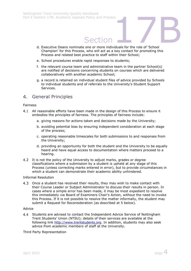- Section<br>
Section<br>
The or more individuals for the role of 'School<br>
The will not not love when the role of 'School d. Executive Deans nominate one or more individuals for the role of 'School Champion' for this Process, who will act as a key contact for promoting this Process and related best practice to staff within their School;
- e. School procedures enable rapid responses to students;
- f. the relevant course team and administrative team in the partner School(s) are notified of decisions concerning students on courses which are delivered collaboratively with another academic School;
- g. a record is retained on individual student files of advice provided by Schools to individual students and of referrals to the University's Student Support Services.

## <span id="page-4-0"></span> $4<sub>1</sub>$ General Principles

## Fairness

- 4.1 All reasonable efforts have been made in the design of this Process to ensure it embodies the principles of fairness. The principles of fairness include:
	- a. giving reasons for actions taken and decisions made by the University;
	- b. avoiding potential bias by ensuring independent consideration at each stage of the process;
	- c. operating reasonable timescales for both submissions to and responses from the University;
	- d. providing an opportunity for both the student and the University to be equally heard and have equal access to documentation where matters proceed to a hearing.
- 4.2 It is not the policy of the University to adjust marks, grades or degree classifications where a submission by a student is upheld at any stage of this Process (unless correcting marks entered in error), but to provide circumstances in which a student can demonstrate their academic ability unhindered.

## Informal Resolution

Once a student has received their results, they may wish to make contact with their Course Leader or Subject Administrator to discuss their results in person. In cases where a simple error has been made, it may be most expedient to resolve this immediately via Board of Examiners Chair's Action, without the need to invoke this Process. If it is not possible to resolve the matter informally, the student may submit a Request for Reconsideration (as described at 5 below).

## Advice

 $4.4$ Students are advised to contact the Independent Advice Service of Nottingham Trent Students' Union (NTSU); details of their services are available at the following link [http://www.trentstudents.org.](http://www.trentstudents.org/) In addition, students may also seek advice from academic members of staff at the University.

## Third Party Representation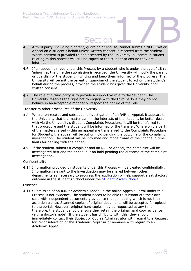- Section<br>
Section<br>
, guardian or spouse, cannot submit a NEC, R4R or A third party, including a parent, guardian or spouse, cannot submit a NEC, R4R or  $4.5$ Appeal on a student's behalf unless written consent is received from the student. Where consent is provided to and accepted by the University, all communications relating to this process will still be copied to the student to ensure they are informed.
- If an appeal is made under this Process by a student who is under the age of 18 (a 'minor') at the time the submission is received, the University will notify the parent or guardian of the student in writing and keep them informed of the progress. The University will permit the parent or guardian of the student to act on the student's behalf during the process, provided the student has given the University prior written consent.
- $4.7$ The role of a third party is to provide a supportive role to the Student. The University reserves the right not to engage with the third party if they do not behave in an acceptable manner or respect the nature of the role.

Transfer to other procedures of the University

- 4.8 Where, on receipt and subsequent investigation of an R4R or Appeal, it appears to the University that the matter can, in the interests of the student, be better dealt with via the University's Student Complaints Procedure, it will be transferred to that procedure and the student will be informed of the transfer. Where only a part of the matters raised within an appeal are transferred to the Complaints Procedure for Students, the appeal will be put on hold pending the outcome of the complaint investigation. The student will be informed and made aware of the change in time limits for dealing with the appeal.
- 4.9 If the student submits a complaint and an R4R or Appeal, the complaint will be investigated first and the appeal put on hold pending the outcome of the complaint investigation.

## Confidentiality

4.10 Information provided by students under this Process will be treated confidentially. Information relevant to the investigation may be shared between other departments as necessary to progress the application or help support a satisfactory outcome in the student's School under the [Student Privacy Notice.](https://www.ntu.ac.uk/policies/student-privacy-notice)

## Evidence

4.11 Submission of an R4R or Academic Appeal in the online Appeals Portal under this Process is not evidence. The student needs to be able to substantiate their own case with independent documentary evidence (i.e. something which is not their assertion alone). Scanned copies of original documents will be accepted for upload to the portal. However, original hard copies may be requested at any time; therefore, the student should ensure they retain the original hard copy evidence (e.g. a doctor's note). If the student has difficulty with this, they should immediately contact their Subject or Course Administrator with regard to a Request for Reconsideration or the Academic Registrar or nominee with regard to an Academic Appeal.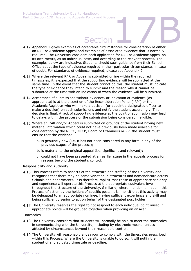- Section 4.12 Appendix 1 gives examples of acceptable circumstances for consideration of either an R4R or Academic Appeal and examples of associated evidence that is normally required. The University considers each application for R4R or Academic Appeal on its own merits, as an individual case, and according to the relevant process. The examples below are indicative. Students should seek guidance from their School Office about the type of evidence required in their particular circumstances in case of doubt. For standards of evidence required, please see Appendix 2.
- Where the relevant R4R or Appeal is submitted online within the required timescales, it is expected that the supporting evidence will be submitted at the same time. In the event that the student cannot do this, the student must indicate the type of evidence they intend to submit and the reason why it cannot be submitted at the time with an indication of when the evidence will be submitted.
- 4.14 Acceptance of submissions without evidence, or indication of evidence (as appropriate) is at the discretion of the Reconsideration Panel ("RP") or the Academic Registrar who will make a decision (or appoint a designated officer to make a decision) on such submissions and notify the student accordingly. This decision is final. A lack of supporting evidence at the point of submission may lead to delays within the process or the submission being considered ineligible.
- 4.15 Where an R4R and/or Appeal is submitted on grounds of the student having new material information which could not have previously been made available for consideration by the NECC, NECP, Board of Examiners or RP, the student must ensure that the evidence:
	- a. is genuinely new (i.e. it has not been considered in any form in any of the previous stages of the process);
	- b. is material to the original appeal (i.e. significant and relevant);
	- c. could not have been presented at an earlier stage in the appeals process for reasons beyond the student's control.

## Responsibility and Authority

- 4.16 This Process refers to aspects of the structure and staffing of the University and recognises that there may be some variation in structures and nomenclature across Schools and departments. It is therefore implicit that those of appropriate seniority and experience will operate this Process at the appropriate equivalent level throughout the structure of the University. Similarly, where mention is made in this Process of action by the holders of specific posts, it is implicit that this activity may be delegated to an appropriate nominee, having sufficient experience and skill and being sufficiently senior to act on behalf of the designated post holder.
- 4.17 The University reserves the right to not respond to each individual point raised if appropriate points will be grouped together when providing an answer.

## Timescales

- The University considers that students will normally be able to meet the timescales in communicating with the University, including by electronic means, unless affected by circumstances beyond their reasonable control.
- 4.19 The University will reasonably endeavour to comply with the timescales prescribed within this Process. Where the University is unable to do so, it will notify the student of any adjusted timescale or deadline.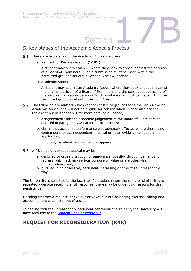# Section<br>Section<br>The Appeals Process

# <span id="page-7-0"></span>5. Key stages of the Academic Appeals Process

- 5.1 There are two stages to the Academic Appeals Process:
	- a. Request for Reconsideration ("R4R")

A student may submit an R4R where they seek to appeal against the decision of a Board of Examiners. Such a submission must be made within the permitted grounds set out in Section 6 below; and/or

b. Academic Appeal

A student may submit an Academic Appeal where they seek to appeal against the original decision of a Board of Examiners and the subsequent outcome of the Request for Reconsideration. Such a submission must be made within the permitted grounds set out in Section 7 below.

- 5.2 The following are matters which cannot constitute grounds for either an R4R or an Academic Appeal and will not be eligible for consideration (please also see the tables set out in Appendix 1 for more detailed guidance):
	- a. disagreement with the academic judgement of the Board of Examiners as detailed in paragraph 2.2 earlier in this Process;
	- b. claims that academic performance was adversely affected where there is no contemporaneous, independent, medical or other evidence to support the application;
	- c. frivolous, vexatious or mischievous appeals.
- 5.3 A frivolous or vexatious appeal may be:
	- a. designed to cause disruption or annoyance, possibly through demands for redress which lack any serious purpose or value or are otherwise unmeritorious; and/or
	- b. pursued in an obsessive, persistent, harassing or otherwise unreasonable way.

The University is sensitive to the fact that if a student raises the same or similar issues repeatedly despite receiving a full response, there may be underlying reasons for this persistence.

Deciding whether a request is frivolous or vexatious is a balancing exercise, taking into account all the circumstances of a case.

In dealing with the unreasonably persistent behaviour of a student, the University will have recourse to the [Student Code of Behaviour.](http://www.ntu.ac.uk/current_students/resources/student_handbook/index.html)

# <span id="page-7-1"></span>**REQUEST FOR RECONSIDERATION (R4R)**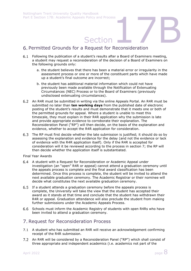# Section<br>Request for Reconsideration Permitted Grounds for a Request for Reconsideration

- <span id="page-8-0"></span>Following the publication of a student's results after a Board of Examiners meeting,  $6.1$ a student may request a reconsideration of the decision of a Board of Examiners on the following grounds only:
	- a. the student believes that there has been a material error or irregularity in the assessment process or one or more of the constituent parts which have made up a student's final outcome are incorrect;
	- b. the student has additional material information which could not have previously been made available through the Notification of Extenuating Circumstances (NEC) Process or to the Board of Examiners (previously undisclosed extenuating circumstances).
- An R4R must be submitted in writing via the online Appeals Portal. An R4R must be submitted no later than **ten working days** from the published date of electronic posting of the student's results and must demonstrate that it meets one or both of the permitted grounds for appeal. Where a student is unable to meet this timescale, they must explain in their R4R application why the submission is late and provide appropriate evidence to corroborate their explanation. The Reconsideration Panel ("RP") will then decide, on the basis of the explanation and evidence, whether to accept the R4R application for consideration.
- The RP must first decide whether the late submission is justified; it should do so by assessing the explanation and evidence for the delay (and not the evidence or lack of evidence with the R4R application itself). Only if the R4R is accepted for consideration will it be reviewed according to the process in section 7; the RP will then decide whether the application itself is substantiated.

Final Year Awards

- A student with a Request for Reconsideration or Academic Appeal under investigation (an "open" R4R or appeal) cannot attend a graduation ceremony until the appeals process is complete and the final award classification has been determined. Once this process is complete, the student will be invited to attend the next available graduation ceremony. The Academic Registrar or their nominee will decide what constitutes the next available graduation ceremony.
- 6.5 If a student attends a graduation ceremony before the appeals process is complete, the University will take the view that the student has accepted their award as it stands at that time and conclude that the student has withdrawn their R4R or appeal. Graduation attendance will also preclude the student from making further submissions under the Academic Appeals Process.
- 6.6 Schools must inform the Academic Registry of students with open R4Rs who have been invited to attend a graduation ceremony.

## <span id="page-8-1"></span>7. Request for Reconsideration Process

- 7.1 A student who has submitted an R4R will receive an acknowledgement confirming receipt of the R4R submission.
- 7.2 An R4R will be considered by a Reconsideration Panel ("RP") which shall consist of three appropriate and independent academics (i.e. academics not part of the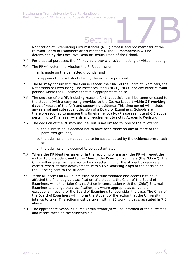Section<br>Section<br>The Section<br>The Pharameters of the Notification of Extenuating Circumstances (NEC) process and not members of the relevant Board of Examiners or course team). The RP membership will be determined by the Executive Dean or Deputy Dean of the School.

- 7.3 For practical purposes, the RP may be either a physical meeting or virtual meeting.
- The RP will determine whether the R4R submission:
	- a. is made on the permitted grounds; and
	- b. appears to be substantiated by the evidence provided.
- The RP **may** consult with the Course Leader, the Chair of the Board of Examiners, the Notification of Extenuating Circumstances Panel (NECP), NECC and any other relevant persons where the RP believes that it is appropriate to do so.
- $7.6$ The decision of the RP, including reasons for that decision, will be communicated to the student (with a copy being provided to the Course Leader) within **25 working days** of receipt of the R4R and supporting evidence. This time period will include any referral and subsequent decision of a Board of Examiners. Schools are therefore required to manage this timeframe locally. (Please see note at 6.5 above pertaining to Final Year Awards and requirement to notify Academic Registry.)
- The decision of the RP may include, but is not limited to, one of the following:
	- a. the submission is deemed not to have been made on one or more of the permitted grounds;
	- b. the submission is not deemed to be substantiated by the evidence presented; or
	- c. the submission is deemed to be substantiated.
- Where the RP identifies an error in the recording of a mark, the RP will report the matter to the student and to the Chair of the Board of Examiners (the "Chair"). The Chair will arrange for the error to be corrected and for the student to receive a correct report of their achievement, within **five working days** of the decision of the RP being sent to the student.
- If the RP deems an R4R submission to be substantiated and deems it to have affected the final degree classification of a student, the Chair of the Board of Examiners will either take Chair's Action in consultation with the (Chief) External Examiner to change the classification, or, where appropriate, convene an exceptional meeting of the Board of Examiners to reconsider the case. The Chair of the Board of Examiners will inform the student of the action that the University intends to take. This action must be taken within 25 working days, as stated in 7.6 above.
- 7.10 The appropriate School / Course Administrator(s) will be informed of the outcomes and record these on the student's file.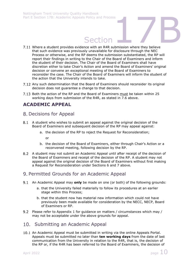- Section<br>Section<br>The with an R4R submission where they believe 7.11 Where a student provides evidence with an R4R submission where they believe that such evidence was previously unavailable for disclosure through the NEC Process or otherwise, and the RP deems the submission substantiated, the RP will report their findings in writing to the Chair of the Board of Examiners and inform the student of their decision. The Chair of the Board of Examiners shall have discretion either to take Chair's Action and amend the Board of Examiners' original decision or convene an exceptional meeting of the Board of Examiners to reconsider the case. The Chair of the Board of Examiners will inform the student of the action that the University intends to take.
- Any such determination that the Board of Examiners should reconsider its original decision does not guarantee a change to that decision.
- 7.13 Both the action of the RP and the Board of Examiners must be taken within 25 working days from submission of the R4R, as stated in 7.6 above.

# <span id="page-10-0"></span>**ACADEMIC APPEAL**

## <span id="page-10-1"></span>8. Decisions for Appeal

- A student who wishes to submit an appeal against the original decision of the Board of Examiners and subsequent decision of the RP may appeal against:
	- a. the decision of the RP to reject the Request for Reconsideration;

or

- b. the decision of the Board of Examiners, either through Chair's Action or a reconvened meeting, following decision by the RP.
- A student may not submit an Academic Appeal until after receipt of the decision of the Board of Examiners and receipt of the decision of the RP. A student may not appeal against the original decision of the Board of Examiners without first making a Request for Reconsideration under Sections 6 and 7 above.

## <span id="page-10-2"></span>Permitted Grounds for an Academic Appeal

- An Academic Appeal may **only** be made on one (or both) of the following grounds:
	- a. that the University failed materially to follow its procedures at an earlier stage within this Process;
	- b. that the student now has material new information which could not have previously been made available for consideration by the NECC, NECP, Board of Examiners or RP.
- 9.2 Please refer to Appendix 1 for guidance on matters / circumstances which may / may not be acceptable under the above grounds for appeal.

## <span id="page-10-3"></span>10. Submitting an Academic Appeal

10.1 An Academic Appeal must be submitted in writing via the online Appeals Portal. Appeals must be submitted no later than **ten working days** from the date of last communication from the University in relation to the R4R, that is, the decision of the RP or, if the R4R has been referred to the Board of Examiners, the decision of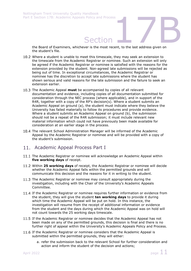Section<br>Section<br>Ver is the most recent, to the last address given on the Board of Examiners, whichever is the most recent, to the last address given on the student's file.

- 10.2 Where a student is unable to meet this timescale, they may seek an extension to the timescale from the Academic Registrar or nominee. Such an extension will only be agreed if the Academic Registrar or nominee is satisfied with the reasons for the extension provided by the student. Non-agreed late submissions will be rejected as being out of time. In exceptional circumstances, the Academic Registrar or nominee has the discretion to accept late submissions where the student has shown serious and valid reasons for the late submission and the failure to seek an extension earlier.
- The Academic Appeal **must** be accompanied by copies of all relevant documentation and evidence, including copies of all documentation submitted for consideration through the NEC process (where applicable), and in support of the R4R, together with a copy of the RP's decision(s). Where a student submits an Academic Appeal on ground (a), the student must indicate where they believe the University has failed materially to follow its procedures and provide evidence. Where a student submits an Academic Appeal on ground (b), the submission should not be a repeat of the R4R submission; it must include relevant new material information which could not have previously been made available for consideration at an earlier stage in the process.
- 10.4 The relevant School Administration Manager will be informed of the Academic Appeal by the Academic Registrar or nominee and will be provided with a copy of the student's submission.

## <span id="page-11-0"></span>11. Academic Appeal Process Part I

- 11.1 The Academic Registrar or nominee will acknowledge an Academic Appeal within **five working days** of receipt.
- 11.2 Within 25 working days of receipt, the Academic Registrar or nominee will decide whether the Academic Appeal falls within the permitted grounds and will communicate this decision and the reasons for it in writing to the student.
- 11.3 The Academic Registrar or nominee may consult appropriately during the investigation, including with the Chair of the University's Academic Appeals Committee.
- 11.4 If the Academic Registrar or nominee requires further information or evidence from the student, they will give the student **ten working days** to provide it during which time the Academic Appeal will be put on hold. In this instance, the investigation will resume from the receipt of additional information or evidence from the student and the days during which the Academic Appeal was on hold will not count towards the 25 working days timescale.
- If the Academic Registrar or nominee decides that the Academic Appeal has not been made on any of the permitted grounds, this decision is final and there is no further right of appeal within the University's Academic Appeals Policy and Process.
- 11.6 If the Academic Registrar or nominee considers that the Academic Appeal is submitted within the permitted grounds, they will either:
	- a. refer the submission back to the relevant School for further consideration and action and inform the student of the decision and actions;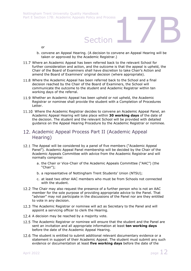# Section<br>Section

- or
- b. convene an Appeal Hearing. (A decision to convene an Appeal Hearing will be taken or approved by the Academic Registrar.)
- 11.7 Where an Academic Appeal has been referred back to the relevant School for further consideration and action, and the outcome is that the appeal is upheld, the Chair of the Board of Examiners shall have discretion to take Chair's Action and amend the Board of Examiners' original decision (where appropriate).
- 11.8 Where the Academic Appeal has been referred back to the School and a final decision reached by the Chair of the Board of Examiners, the School will communicate the outcome to the student and Academic Registrar within ten working days of the referral.
- 11.9 Whether an Academic Appeal has been upheld or not upheld, the Academic Registrar or nominee shall provide the student with a Completion of Procedures Letter.
- 11.10 Where the Academic Registrar decides to convene an Academic Appeal Panel, an Academic Appeal Hearing will take place within **30 working days** of the date of the decision. The student and the relevant School will be provided with detailed guidance on the Appeal Hearing Procedure by the Academic Registrar or nominee.
- <span id="page-12-0"></span>12. Academic Appeal Process Part II (Academic Appeal Hearing)
- 12.1 The Appeal will be considered by a panel of five members ("Academic Appeal Panel"). Academic Appeal Panel membership will be decided by the Chair of the Academic Appeals Committee with advice from the Academic Registrar and will normally comprise:
	- a. the Chair or Vice-Chair of the Academic Appeals Committee ("AAC") (the "Chair");
	- b. a representative of Nottingham Trent Students' Union (NTSU);
	- c. at least two other AAC members who must be from Schools not connected with the student.
- 12.2 The Chair may also request the presence of a further person who is not an AAC member for the sole purpose of providing appropriate advice to the Panel. That "adviser" may not participate in the discussions of the Panel nor are they entitled to vote in any decision.
- 12.3 The Academic Registrar or nominee will act as Secretary to the Panel and will appoint a servicing officer to clerk the Hearing.
- 12.4 A decision may be reached by a majority vote.
- 12.5 The Academic Registrar or nominee will ensure that the student and the Panel are sent an invitation and all appropriate information at least **ten working days** before the date of the Academic Appeal Hearing.
- 12.6 The student is entitled to submit additional relevant documentary evidence or a statement in support of their Academic Appeal. The student must submit any such evidence or documentation at least **five working days** before the date of the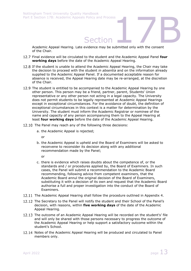Section<br>Section<br>Exidence may be submitted only with the consent Academic Appeal Hearing. Late evidence may be submitted only with the consent of the Chair.

- Final evidence will be circulated to the student and the Academic Appeal Panel **four working days** before the date of the Academic Appeal Hearing.
- 12.8 If the student is unable to attend the Academic Appeal Hearing, the Chair may take the decision to proceed with the student *in absentia* and on the information already supplied to the Academic Appeal Panel. If a documented acceptable reason for absence is received, the Appeal Hearing date may be re-arranged, at the discretion of the Chair.
- 12.9 The student is entitled to be accompanied to the Academic Appeal Hearing by one other person. This person may be a friend, partner, parent, Students' Union representative or any other person not acting in a legal capacity. The University does not permit students to be legally represented at Academic Appeal Hearings except in exceptional circumstances. For the avoidance of doubt, the definition of exceptional circumstances in this context is a matter for determination by the University. The student must inform the Academic Registrar or nominee of the name and capacity of any person accompanying them to the Appeal Hearing at least **four working days** before the date of the Academic Appeal Hearing.
- 12.10 The Panel may reach any of the following three decisions:
	- a. the Academic Appeal is rejected;

or

b. the Academic Appeal is upheld and the Board of Examiners will be asked to reconvene to reconsider its decision along with any additional recommendation made by the Panel;

or

- c. there is evidence which raises doubts about the competence of, or the standards and / or procedures applied by, the Board of Examiners. In such cases, the Panel will submit a recommendation to the Academic Board recommending, following advice from competent examiners, that the Academic Board annul the original decision of the Board of Examiners, substituting it with a decision of its own and request that the Academic Board authorise a full and proper investigation into the conduct of the Board of Examiners.
- 12.11 The Academic Appeal Hearing shall follow the procedure outlined in Appendix 4.
- 12.12 The Secretary to the Panel will notify the student and their School of the Panel's decision, with reasons, within **five working days** of the date of the Academic Appeal Hearing.
- 12.13 The outcome of an Academic Appeal Hearing will be recorded on the student's' file and will only be shared with those persons necessary to progress the outcome of the Academic Appeal Hearing or help support a satisfactory outcome within the student's School.
- 12.14 Notes of the Academic Appeal Hearing will be produced and circulated to Panel members only.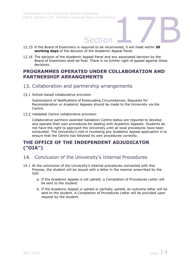- Section<br>Section<br>The process of the convened, it will meet within 30 12.15 If the Board of Examiners is required to be reconvened, it will meet within 30 **working days** of the decision of the Academic Appeal Panel.
- 12.16 The decision of the Academic Appeal Panel and any associated decision by the Board of Examiners shall be final. There is no further right of appeal against these decisions.

## <span id="page-14-0"></span>**PROGRAMMES OPERATED UNDER COLLABORATION AND PARTNERSHIP ARRANGEMENTS**

## <span id="page-14-1"></span>13. Collaboration and partnership arrangements

13.1 School-based collaborative provision

Submissions of Notifications of Extenuating Circumstances, Requests for Reconsideration or Academic Appeals should be made to the University via the Centre.

13.2 Validated Centre collaborative provision

Collaborative partners awarded Validation Centre status are required to develop and operate their own procedures for dealing with Academic Appeals. Students do not have the right to approach the University until all local procedures have been exhausted. The University's role in reviewing any Academic Appeal application is to ensure that the Centre has followed its own procedures correctly.

# <span id="page-14-2"></span>**THE OFFICE OF THE INDEPENDENT ADJUDICATOR ("OIA")**

## <span id="page-14-3"></span>14. Conclusion of the University's Internal Procedures

- 14.1 At the conclusion of the University's internal procedures connected with this Process, the student will be issued with a letter in the manner prescribed by the OIA:
	- a. If the Academic Appeal is not upheld, a Completion of Procedures Letter will be sent to the student.
	- b. If the Academic Appeal is upheld or partially upheld, an outcome letter will be sent to the student. A Completion of Procedures Letter will be provided upon request by the student.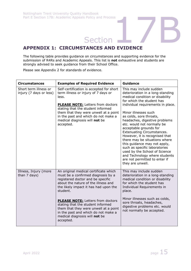# Section<br>Section<br>TANCES AND EVIDENCE **APPENDIX 1: CIRCUMSTANCES AND EVIDENCE**

<span id="page-15-0"></span>The following table provides guidance on circumstances and supporting evidence for the submission of R4Rs and Academic Appeals. This list is **not** exhaustive and students are strongly advised to seek guidance from their School Office.

Please see Appendix 2 for standards of evidence.

| <b>Circumstances</b>                             | <b>Examples of Required Evidence</b>                                                                                                                                                                                                                                                                    | <b>Guidance</b>                                                                                                                                                                                                                                                                                                                                                                                                                                                                                                                                                                                              |
|--------------------------------------------------|---------------------------------------------------------------------------------------------------------------------------------------------------------------------------------------------------------------------------------------------------------------------------------------------------------|--------------------------------------------------------------------------------------------------------------------------------------------------------------------------------------------------------------------------------------------------------------------------------------------------------------------------------------------------------------------------------------------------------------------------------------------------------------------------------------------------------------------------------------------------------------------------------------------------------------|
| Short term illness or<br>injury (7 days or less) | Self-certification is accepted for short<br>term illness or injury of 7 days or<br>less.<br><b>PLEASE NOTE:</b> Letters from doctors<br>stating that the student informed<br>them that they were unwell at a point<br>in the past and which do not make a<br>medical diagnosis will not be<br>accepted. | This may include sudden<br>deterioration in a long-standing<br>medical condition or disability<br>for which the student has<br>individual requirements in place.<br>Minor illnesses such<br>as colds, sore throats,<br>headaches, digestive problems<br>etc. would not normally be<br>acceptable grounds for<br><b>Extenuating Circumstances.</b><br>However, it is recognised that<br>there may be situations where<br>this guidance may not apply,<br>such as specific laboratories<br>used by the School of Science<br>and Technology where students<br>are not permitted to enter if<br>they are unwell. |
| Illness, Injury (more<br>than 7 days)            | An original medical certificate which<br>must be a confirmed diagnosis by a<br>registered doctor and be specific<br>about the nature of the illness and<br>the likely impact it has had upon the<br>student.<br><b>PLEASE NOTE:</b> Letters from doctors                                                | This may include sudden<br>deterioration in a long-standing<br>medical condition or disability<br>for which the student has<br>Individual Requirements in<br>place.<br>Minor illnesses such as colds,<br>sore throats, headaches,                                                                                                                                                                                                                                                                                                                                                                            |
|                                                  | stating that the student informed<br>them that they were unwell at a point<br>in the past and which do not make a<br>medical diagnosis will not be<br>accepted.                                                                                                                                         | digestive problems etc. would<br>not normally be accepted.                                                                                                                                                                                                                                                                                                                                                                                                                                                                                                                                                   |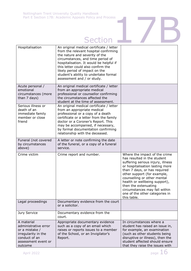# Section<sup>17</sup>B

| Hospitalisation                                                                                                                | An original medical certificate / letter<br>from the relevant hospital confirming<br>the nature and severity of the<br>circumstances, and time period of<br>hospitalisation. It would be helpful if<br>this letter could also confirm the<br>likely period of impact on the<br>student's ability to undertake formal<br>assessment and / or study. |                                                                                                                                                                                                                                                                                                                                                                               |
|--------------------------------------------------------------------------------------------------------------------------------|----------------------------------------------------------------------------------------------------------------------------------------------------------------------------------------------------------------------------------------------------------------------------------------------------------------------------------------------------|-------------------------------------------------------------------------------------------------------------------------------------------------------------------------------------------------------------------------------------------------------------------------------------------------------------------------------------------------------------------------------|
| Acute personal /<br>emotional<br>circumstances (more<br>than 7 days)                                                           | An original medical certificate / letter<br>from an appropriate medical<br>professional or counsellor confirming<br>the circumstances affected the<br>student at the time of assessment.                                                                                                                                                           |                                                                                                                                                                                                                                                                                                                                                                               |
| Serious illness or<br>death of an<br>immediate family<br>member or close<br>friend                                             | An original medical certificate / letter<br>from an appropriate medical<br>professional or a copy of a death<br>certificate or a letter from the family<br>doctor or a Coroner's Report. This<br>may be accompanied, if necessary,<br>by formal documentation confirming<br>relationship with the deceased.                                        |                                                                                                                                                                                                                                                                                                                                                                               |
| Funeral (not covered<br>by circumstances<br>above)                                                                             | A letter or note confirming the date<br>of the funeral, or a copy of a funeral<br>service.                                                                                                                                                                                                                                                         |                                                                                                                                                                                                                                                                                                                                                                               |
| Crime victim                                                                                                                   | Crime report and number.                                                                                                                                                                                                                                                                                                                           | Where the impact of the crime<br>has resulted in the student<br>suffering serious injury, illness<br>or hospitalisation lasting more<br>than 7 days, or has required<br>other support (for example,<br>counselling or other mental<br>health or wellbeing support),<br>then the extenuating<br>circumstances may fall within<br>one of the other categories in<br>this table. |
| Legal proceedings                                                                                                              | Documentary evidence from the court<br>or a solicitor.                                                                                                                                                                                                                                                                                             |                                                                                                                                                                                                                                                                                                                                                                               |
| Jury Service                                                                                                                   | Documentary evidence from the<br>court.                                                                                                                                                                                                                                                                                                            |                                                                                                                                                                                                                                                                                                                                                                               |
| A material<br>administrative error<br>or a mistake /<br>irregularity in the<br>conduct of an<br>assessment event or<br>outcome | Appropriate documentary evidence<br>such as a copy of an email which<br>raises or reports issues to a member<br>of the School, or an Invigilator's<br>Report.                                                                                                                                                                                      | In circumstances where a<br>student has raised an issue in,<br>for example, an examination<br>(such as other students being<br>disruptive or illness), then the<br>student affected should ensure<br>that they raise the issues with                                                                                                                                          |

April 2022  $\qquad \qquad$  page  $16$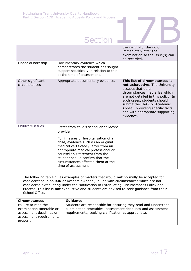|                                    | Part E Section 17B: Academic Appeals Policy and Process<br><b>Section</b>                                                                                                                                                                                                                    |                                                                                                                                                                                                                                                                                                                  |
|------------------------------------|----------------------------------------------------------------------------------------------------------------------------------------------------------------------------------------------------------------------------------------------------------------------------------------------|------------------------------------------------------------------------------------------------------------------------------------------------------------------------------------------------------------------------------------------------------------------------------------------------------------------|
|                                    |                                                                                                                                                                                                                                                                                              | the invigilator during or<br>immediately after the<br>examination so the issue(s) can<br>be recorded.                                                                                                                                                                                                            |
| Financial hardship                 | Documentary evidence which<br>demonstrates the student has sought<br>support specifically in relation to this<br>at the time of assessment.                                                                                                                                                  |                                                                                                                                                                                                                                                                                                                  |
| Other significant<br>circumstances | Appropriate documentary evidence.                                                                                                                                                                                                                                                            | This list of circumstances is<br>not exhaustive. The University<br>accepts that other<br>circumstances may arise which<br>are not detailed in this policy. In<br>such cases, students should<br>submit their R4R or Academic<br>Appeal, providing specific facts<br>and with appropriate supporting<br>evidence. |
| Childcare issues                   | Letter from child's school or childcare<br>provider                                                                                                                                                                                                                                          |                                                                                                                                                                                                                                                                                                                  |
|                                    | For illnesses or hospitalisation of a<br>child, evidence such as an original<br>medical certificate / letter from an<br>appropriate medical professional or<br>counsellor. Statement from the<br>student should confirm that the<br>circumstances affected them at the<br>time of assessment |                                                                                                                                                                                                                                                                                                                  |

The following table gives examples of matters that would **not** normally be accepted for consideration in an R4R or Academic Appeal, in line with circumstances which are not considered extenuating under the Notification of Extenuating Circumstances Policy and Process. This list is **not** exhaustive and students are advised to seek guidance from their School Office.

| <b>Circumstances</b>                                                                                              | <b>Guidance</b>                                                                                                                                                                      |
|-------------------------------------------------------------------------------------------------------------------|--------------------------------------------------------------------------------------------------------------------------------------------------------------------------------------|
| Failure to read the<br>examination timetable or<br>assessment deadlines or<br>assessment requirements<br>properly | Students are responsible for ensuring they read and understand<br>examination timetables, assessment deadlines and assessment<br>requirements, seeking clarification as appropriate. |
|                                                                                                                   |                                                                                                                                                                                      |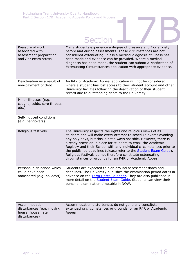# Section<sup>17</sup>B

| Pressure of work<br>associated with<br>assessment preparation<br>and / or exam stress | Many students experience a degree of pressure and / or anxiety<br>before and during assessments. These circumstances are not<br>considered extenuating unless a medical diagnosis of illness has<br>been made and evidence can be provided. Where a medical<br>diagnosis has been made, the student can submit a Notification of<br>Extenuating Circumstances application with appropriate evidence.                                                                                                                                                  |
|---------------------------------------------------------------------------------------|-------------------------------------------------------------------------------------------------------------------------------------------------------------------------------------------------------------------------------------------------------------------------------------------------------------------------------------------------------------------------------------------------------------------------------------------------------------------------------------------------------------------------------------------------------|
| Deactivation as a result of<br>non-payment of debt                                    | An R4R or Academic Appeal application will not be considered<br>where a student has lost access to their student account and other<br>University facilities following the deactivation of their student<br>record due to outstanding debts to the University.                                                                                                                                                                                                                                                                                         |
| Minor illnesses (e.g.<br>coughs, colds, sore throats<br>$etc.$ )                      |                                                                                                                                                                                                                                                                                                                                                                                                                                                                                                                                                       |
| Self-induced conditions<br>(e.g. hangovers)                                           |                                                                                                                                                                                                                                                                                                                                                                                                                                                                                                                                                       |
| Religious festivals                                                                   | The University respects the rights and religious views of its<br>students and will make every attempt to schedule exams avoiding<br>any holy days, but this is not always possible. However, there is<br>already provision in place for students to email the Academic<br>Registry and their School with any individual circumstances prior to<br>the published deadlines (please refer to the <b>Student Exam Guide</b> ).<br>Religious festivals do not therefore constitute extenuating<br>circumstances or grounds for an R4R or Academic Appeal. |
| Personal disruptions which<br>could have been<br>anticipated (e.g. holidays)          | Students are expected to plan around assessment dates and<br>deadlines. The University publishes the examination period dates in<br>advance on the Term Dates Calendar. They are also published in<br>more detail on the <b>Student Exam Guide</b> . Students can view their<br>personal examination timetable in NOW.                                                                                                                                                                                                                                |
| Accommodation<br>disturbances (e.g. moving<br>house, housemate<br>disturbances)       | Accommodation disturbances do not generally constitute<br>extenuating circumstances or grounds for an R4R or Academic<br>Appeal.                                                                                                                                                                                                                                                                                                                                                                                                                      |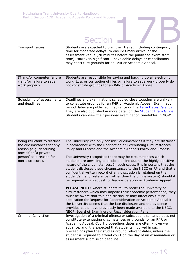# Section<sup>17</sup>B

| Transport issues                                                                                                                                            | Students are expected to plan their travel, including contingency<br>time for moderate delays, to ensure timely arrival at the<br>assessment venue (20 minutes before the published exam start<br>time). However, significant, unavoidable delays or cancellations<br>may constitute grounds for an R4R or Academic Appeal.                                                                                                                                                                                                                                                                                                                                                                                                                                                                                                                                                                                                                                                                                                                                                                                                                                                           |
|-------------------------------------------------------------------------------------------------------------------------------------------------------------|---------------------------------------------------------------------------------------------------------------------------------------------------------------------------------------------------------------------------------------------------------------------------------------------------------------------------------------------------------------------------------------------------------------------------------------------------------------------------------------------------------------------------------------------------------------------------------------------------------------------------------------------------------------------------------------------------------------------------------------------------------------------------------------------------------------------------------------------------------------------------------------------------------------------------------------------------------------------------------------------------------------------------------------------------------------------------------------------------------------------------------------------------------------------------------------|
| IT and/or computer failure<br>/ and/or failure to save<br>work properly                                                                                     | Students are responsible for saving and backing up all electronic<br>work. Loss or corruption of files or failure to save work properly do<br>not constitute grounds for an R4R or Academic Appeal.                                                                                                                                                                                                                                                                                                                                                                                                                                                                                                                                                                                                                                                                                                                                                                                                                                                                                                                                                                                   |
| Scheduling of assessments<br>and deadlines                                                                                                                  | Deadlines and examinations scheduled close together are unlikely<br>to constitute grounds for an R4R or Academic Appeal. Examination<br>period dates are published in advance on the Term Dates Calendar.<br>They are also published in more detail on the Student Exam Guide.<br>Students can view their personal examination timetables in NOW.                                                                                                                                                                                                                                                                                                                                                                                                                                                                                                                                                                                                                                                                                                                                                                                                                                     |
| Being reluctant to disclose<br>the circumstances for any<br>reason (e.g. describing<br>oneself as 'a private<br>person' as a reason for<br>non-disclosure). | The University can only consider circumstances if they are disclosed<br>in accordance with the Notification of Extenuating Circumstances<br>Policy and Process and the Academic Appeals Policy and Process.<br>The University recognises there may be circumstances which<br>students are unwilling to disclose online due to the highly sensitive<br>nature of the circumstances. In such cases, it is important that the<br>student discloses these circumstances to the NECC or RP and that a<br>confidential written record of any discussion is retained on the<br>student's file for reference (rather than the online system) should it<br>be required in a Request for Reconsideration or Academic Appeal.<br>PLEASE NOTE: where students fail to notify the University of<br>circumstances which may impede their academic performance, they<br>must be aware that this non-disclosure may affect any future<br>application for Request for Reconsideration or Academic Appeal if<br>the University deems that the late disclosure and the evidence<br>provided could have previously been made available to the NECC,<br>NECP, Board of Examiners or Reconsideration Panel. |
| <b>Criminal Conviction</b>                                                                                                                                  | Investigation of a criminal offence or subsequent sentence does not<br>constitute extenuating circumstances or grounds for an R4R or<br>Academic Appeal. Court proceedings dates are often known well in<br>advance, and it is expected that students involved in such<br>proceedings plan their studies around relevant dates, unless the<br>student is required to attend court on the day of an examination or<br>assessment submission deadline.                                                                                                                                                                                                                                                                                                                                                                                                                                                                                                                                                                                                                                                                                                                                  |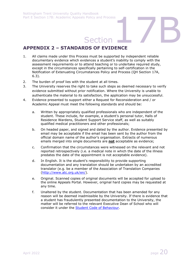# Section<br>Section<br>Nos of EvidEnce

# <span id="page-20-0"></span>**APPENDIX 2 – STANDARDS OF EVIDENCE**

- 1. All claims made under this Process must be supported by independent reliable documentary evidence which evidences a student's inability to comply with the assessment requirements or to attend teaching or to undertake required study, except in the circumstances specifically pertaining to self-certification in the Notification of Extenuating Circumstances Policy and Process (QH Section 17A, 6.3).
- 2. The burden of proof lies with the student at all times.
- 3. The University reserves the right to take such steps as deemed necessary to verify evidence submitted without prior notification. Where the University is unable to authenticate the material to its satisfaction, the application may be unsuccessful.
- 4. Evidence presented to support either a Request for Reconsideration and / or Academic Appeal must meet the following standards and should be:
	- a. Written by appropriately qualified professionals who are independent of the student. These include, for example, a student's personal tutor, Halls of Residence Wardens, Student Support Service staff, as well as suitably qualified medical practitioners and other professionals;
	- b. On headed paper, and signed and dated by the author. Evidence presented by email may be acceptable if the email has been sent by the author from the official domain name of the author's organisation. Extracts of numerous emails merged into single documents are **not** acceptable as evidence;
	- c. Confirmation that the circumstances were witnessed on the relevant and not reported retrospectively (i.e. a medical note in which the date of the illness predates the date of the appointment is not acceptable evidence).
	- d. In English. It is the student's responsibility to provide supporting documentation and any translation should be undertaken by an accredited translator (e.g. be a member of the Association of Translation Companies [\(http://www.atc.org.uk/en/\)](http://www.atc.org.uk/en/).
	- e. Original. Scanned copies of original documents will be accepted for upload to the online Appeals Portal. However, original hard copies may be requested at any time.
	- f. Unaltered by the student. Documentation that has been amended for any reason will be deemed inadmissible by the University. If there is evidence that a student has fraudulently presented documentation to the University, the matter will be referred to the relevant Executive Dean of School who will consider it under the [Student Code of Behaviour.](http://www.ntu.ac.uk/current_students/resources/student_handbook/index.html)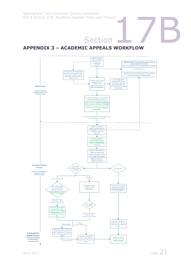<span id="page-21-0"></span>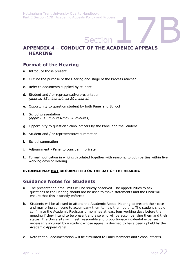# Section<br>
Section<br>
T OF THE ACADEMIC APPEALS **APPENDIX 4 – CONDUCT OF THE ACADEMIC APPEALS HEARING**

# <span id="page-22-0"></span>**Format of the Hearing**

- a. Introduce those present
- b. Outline the purpose of the Hearing and stage of the Process reached
- c. Refer to documents supplied by student
- d. Student and / or representative presentation *(approx. 15 minutes/max 20 minutes)*
- e. Opportunity to question student by both Panel and School
- f. School presentation *(approx. 15 minutes/max 20 minutes)*
- g. Opportunity to question School officers by the Panel and the Student
- h. Student and / or representative summation
- i. School summation
- j. Adjournment Panel to consider in private
- k. Formal notification in writing circulated together with reasons, to both parties within five working days of Hearing

## **EVIDENCE MAY NOT BE SUBMITTED ON THE DAY OF THE HEARING**

## **Guidance Notes for Students**

- a. The presentation time limits will be strictly observed. The opportunities to ask questions at the Hearing should not be used to make statements and the Chair will ensure that this is strictly enforced.
- b. Students will be allowed to attend the Academic Appeal Hearing to present their case and may bring someone to accompany them to help them do this. The student should confirm to the Academic Registrar or nominee at least four working days before the meeting if they intend to be present and also who will be accompanying them and their status. The University will meet reasonable and proportionate incidental expenses necessarily incurred by a student whose appeal is deemed to have been upheld by the Academic Appeal Panel.
- c. Note that all documentation will be circulated to Panel Members and School officers.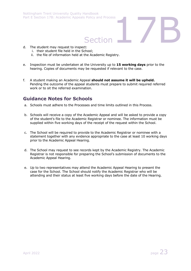# Section<br>Section<br>#

- d. The student may request to inspect:
	- i. their student file held in the School;
	- ii. the file of information held at the Academic Registry.
- e. Inspection must be undertaken at the University up to **15 working days** prior to the hearing. Copies of documents may be requested if relevant to the case.
- f. A student making an Academic Appeal **should not assume it will be upheld.**  Pending the outcome of the appeal students must prepare to submit required referred work or to sit the referred examination.

# **Guidance Notes for Schools**

- a. Schools must adhere to the Processes and time limits outlined in this Process.
- b. Schools will receive a copy of the Academic Appeal and will be asked to provide a copy of the student's file to the Academic Registrar or nominee. The information must be supplied within five working days of the receipt of the request within the School.
- c. The School will be required to provide to the Academic Registrar or nominee with a statement together with any evidence appropriate to the case at least 10 working days prior to the Academic Appeal Hearing.
- d. The School may request to see records kept by the Academic Registry. The Academic Registrar is not responsible for preparing the School's submission of documents to the Academic Appeal Hearing.
- e. Up to two representatives may attend the Academic Appeal Hearing to present the case for the School. The School should notify the Academic Registrar who will be attending and their status at least five working days before the date of the Hearing.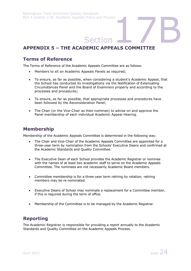# Section<br>Section<br>DEMIC APPEALS COMMITTEE **APPENDIX 5 – THE ACADEMIC APPEALS COMMITTEE**

## <span id="page-24-0"></span>**Terms of Reference**

The Terms of Reference of the Academic Appeals Committee are as follows:

- Members to sit on Academic Appeals Panels as required;
- To ensure, as far as possible, when considering a student's Academic Appeal, that the School has conducted its investigations via the Notification of Extenuating Circumstances Panel and the Board of Examiners properly and according to the processes and procedures;
- To ensure, as far as possible, that appropriate processes and procedures have been followed by the Reconsideration Panel;
- The Chair (or the Vice-Chair as their nominee) to advise on and approve the Panel membership of each individual Academic Appeal Hearing.

## **Membership**

Membership of the Academic Appeals Committee is determined in the following way:

- The Chair and Vice-Chair of the Academic Appeals Committee are appointed for a three-year term by nomination from the Schools' Executive Deans and confirmed at the Academic Standards and Quality Committee.
- The Executive Dean of each School provides the Academic Registrar or nominee with the names of at least two academic staff to serve on the Academic Appeals Committee. The nominees are not necessarily Academic Board members.
- Committee membership is for a three-year term retiring by rotation; retiring members may be re-nominated.
- Executive Deans of School may nominate a replacement for a Committee member, if this is required during the term of office.
- Membership of the Committee is to be managed by the Academic Registrar.

# **Reporting**

The Academic Registrar is responsible for providing a report annually to the Academic Standards and Quality Committee on the Academic Appeals Process.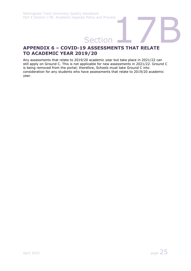# Part E Section 17B: Academic Appeals Policy and Process<br> **Section**<br> **APPENDIX 6 – COVID-19 ASSESSMENTS THAT RELATE TO ACADEMIC YEAR 2019/20**

<span id="page-25-0"></span>Any assessments that relate to 2019/20 academic year but take place in 2021/22 can still apply on Ground C. This is not applicable for new assessments in 2021/22. Ground C is being removed from the portal; therefore, Schools must take Ground C into consideration for any students who have assessments that relate to 2019/20 academic year.